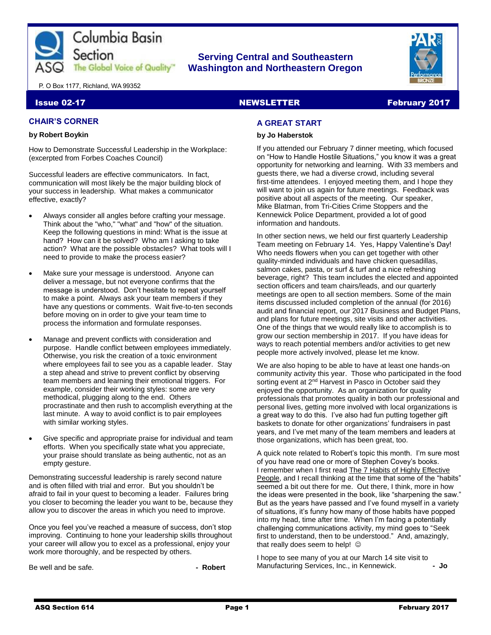

# **Serving Central and Southeastern The Global Voice of Quality | Washington and Northeastern Oregon**



P. O Box 1177, Richland, WA 99352

#### **Issue 02-17 NEWSLETTER February 2017**

# **CHAIR'S CORNER**

#### **by Robert Boykin**

How to Demonstrate Successful Leadership in the Workplace: (excerpted from Forbes Coaches Council)

Successful leaders are effective communicators. In fact, communication will most likely be the major building block of your success in leadership. What makes a communicator effective, exactly?

- Always consider all angles before crafting your message. Think about the "who," "what" and "how" of the situation. Keep the following questions in mind: What is the issue at hand? How can it be solved? Who am I asking to take action? What are the possible obstacles? What tools will I need to provide to make the process easier?
- Make sure your message is understood. Anyone can deliver a message, but not everyone confirms that the message is understood. Don't hesitate to repeat yourself to make a point. Always ask your team members if they have any questions or comments. Wait five-to-ten seconds before moving on in order to give your team time to process the information and formulate responses.
- Manage and prevent conflicts with consideration and purpose. Handle conflict between employees immediately. Otherwise, you risk the creation of a toxic environment where employees fail to see you as a capable leader. Stay a step ahead and strive to prevent conflict by observing team members and learning their emotional triggers. For example, consider their working styles: some are very methodical, plugging along to the end. Others procrastinate and then rush to accomplish everything at the last minute. A way to avoid conflict is to pair employees with similar working styles.
- Give specific and appropriate praise for individual and team efforts. When you specifically state what you appreciate, your praise should translate as being authentic, not as an empty gesture.

Demonstrating successful leadership is rarely second nature and is often filled with trial and error. But you shouldn't be afraid to fail in your quest to becoming a leader. Failures bring you closer to becoming the leader you want to be, because they allow you to discover the areas in which you need to improve.

Once you feel you've reached a measure of success, don't stop improving. Continuing to hone your leadership skills throughout your career will allow you to excel as a professional, enjoy your work more thoroughly, and be respected by others.

Be well and be safe. **A contract a set of the same set of the set of the Robert - Robert** 

# **A GREAT START**

#### **by Jo Haberstok**

If you attended our February 7 dinner meeting, which focused on "How to Handle Hostile Situations," you know it was a great opportunity for networking and learning. With 33 members and guests there, we had a diverse crowd, including several first-time attendees. I enjoyed meeting them, and I hope they will want to join us again for future meetings. Feedback was positive about all aspects of the meeting. Our speaker, Mike Blatman, from Tri-Cities Crime Stoppers and the Kennewick Police Department, provided a lot of good information and handouts.

In other section news, we held our first quarterly Leadership Team meeting on February 14. Yes, Happy Valentine's Day! Who needs flowers when you can get together with other quality-minded individuals and have chicken quesadillas, salmon cakes, pasta, or surf & turf and a nice refreshing beverage, right? This team includes the elected and appointed section officers and team chairs/leads, and our quarterly meetings are open to all section members. Some of the main items discussed included completion of the annual (for 2016) audit and financial report, our 2017 Business and Budget Plans, and plans for future meetings, site visits and other activities. One of the things that we would really like to accomplish is to grow our section membership in 2017. If you have ideas for ways to reach potential members and/or activities to get new people more actively involved, please let me know.

We are also hoping to be able to have at least one hands-on community activity this year. Those who participated in the food sorting event at 2<sup>nd</sup> Harvest in Pasco in October said they enjoyed the opportunity. As an organization for quality professionals that promotes quality in both our professional and personal lives, getting more involved with local organizations is a great way to do this. I've also had fun putting together gift baskets to donate for other organizations' fundraisers in past years, and I've met many of the team members and leaders at those organizations, which has been great, too.

A quick note related to Robert's topic this month. I'm sure most of you have read one or more of Stephen Covey's books. I remember when I first read The 7 Habits of Highly Effective People, and I recall thinking at the time that some of the "habits" seemed a bit out there for me. Out there, I think, more in how the ideas were presented in the book, like "sharpening the saw." But as the years have passed and I've found myself in a variety of situations, it's funny how many of those habits have popped into my head, time after time. When I'm facing a potentially challenging communications activity, my mind goes to "Seek first to understand, then to be understood." And, amazingly, that really does seem to help!  $\odot$ 

I hope to see many of you at our March 14 site visit to Manufacturing Services, Inc., in Kennewick. **- Jo**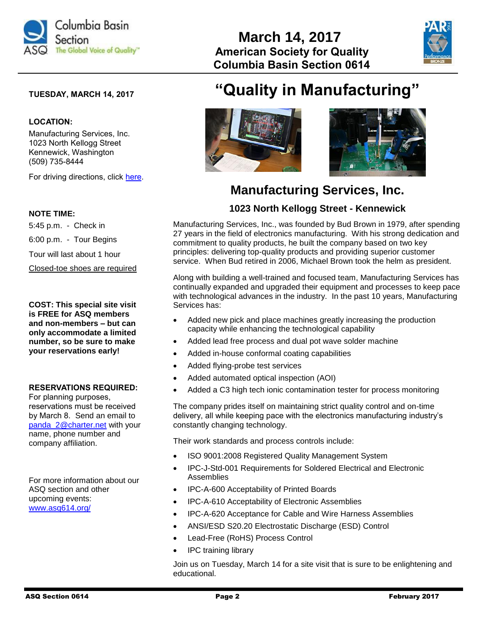



# **TUESDAY, MARCH 14, 2017**

#### **LOCATION:**

Manufacturing Services, Inc. 1023 North Kellogg Street Kennewick, Washington (509) 735-8444

For driving directions, click [here.](https://www.bing.com/maps/default.aspx?rtp=adr.~pos.46.2209053039551_-119.202697753906_1023+N+Kellogg+St%2c+Kennewick%2c+WA+99336_Manufacturing+Services+Inc_(509)+735-8444)

#### **NOTE TIME:**

5:45 p.m. - Check in 6:00 p.m. - Tour Begins Tour will last about 1 hour Closed-toe shoes are required

**COST: This special site visit is FREE for ASQ members and non-members – but can only accommodate a limited number, so be sure to make your reservations early!**

#### **RESERVATIONS REQUIRED:**

For planning purposes, reservations must be received by March 8. Send an email to [panda\\_2@charter.net](mailto:panda_2@charter.net) with your name, phone number and company affiliation.

For more information about our ASQ section and other upcoming events: [www.asq614.org/](http://www.asq614.org/)

# **"Quality in Manufacturing"**





# **Manufacturing Services, Inc.**

# **1023 North Kellogg Street - Kennewick**

Manufacturing Services, Inc., was founded by Bud Brown in 1979, after spending 27 years in the field of electronics manufacturing. With his strong dedication and commitment to quality products, he built the company based on two key principles: delivering top-quality products and providing superior customer service. When Bud retired in 2006, Michael Brown took the helm as president.

Along with building a well-trained and focused team, Manufacturing Services has continually expanded and upgraded their equipment and processes to keep pace with technological advances in the industry. In the past 10 years, Manufacturing Services has:

- Added new pick and place machines greatly increasing the production capacity while enhancing the technological capability
- Added lead free process and dual pot wave solder machine
- Added in-house conformal coating capabilities
- Added flying-probe test services
- Added automated optical inspection (AOI)
- Added a C3 high tech ionic contamination tester for process monitoring

The company prides itself on maintaining strict quality control and on-time delivery, all while keeping pace with the electronics manufacturing industry's constantly changing technology.

Their work standards and process controls include:

- ISO 9001:2008 Registered Quality Management System
- IPC-J-Std-001 Requirements for Soldered Electrical and Electronic Assemblies
- IPC-A-600 Acceptability of Printed Boards
- IPC-A-610 Acceptability of Electronic Assemblies
- IPC-A-620 Acceptance for Cable and Wire Harness Assemblies
- ANSI/ESD S20.20 Electrostatic Discharge (ESD) Control
- Lead-Free (RoHS) Process Control
- IPC training library

Join us on Tuesday, March 14 for a site visit that is sure to be enlightening and educational.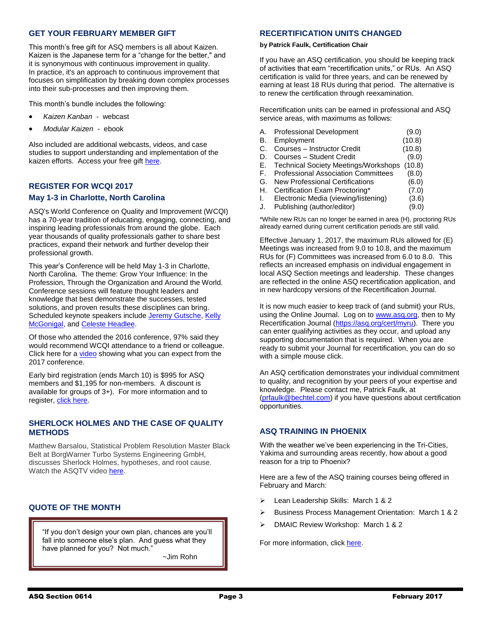#### **GET YOUR FEBRUARY MEMBER GIFT**

This month's free gift for ASQ members is all about Kaizen. Kaizen is the Japanese term for a "change for the better," and it is synonymous with continuous improvement in quality. In practice, it's an approach to continuous improvement that focuses on simplification by breaking down complex processes into their sub-processes and then improving them.

This month's bundle includes the following:

- *Kaizen Kanban* webcast
- *Modular Kaizen* ebook

Also included are additional webcasts, videos, and case studies to support understanding and implementation of the kaizen efforts. Access your free gift [here.](http://asq.org/membership/members/gift/?utm_source=email&utm_medium=email&utm_campaign=marketing_febmembergift_020117)

#### **REGISTER FOR WCQI 2017**

#### **May 1-3 in Charlotte, North Carolina**

ASQ's World Conference on Quality and Improvement (WCQI) has a 70-year tradition of educating, engaging, connecting, and inspiring leading professionals from around the globe. Each year thousands of quality professionals gather to share best practices, expand their network and further develop their professional growth.

This year's Conference will be held May 1-3 in Charlotte, North Carolina. The theme: Grow Your Influence: In the Profession, Through the Organization and Around the World. Conference sessions will feature thought leaders and knowledge that best demonstrate the successes, tested solutions, and proven results these disciplines can bring. Scheduled keynote speakers include [Jeremy Gutsche,](http://asq.org/wcqi/2017/speakers/gutsche.aspx) [Kelly](http://asq.org/wcqi/2017/speakers/mcgonigal.aspx)  [McGonigal,](http://asq.org/wcqi/2017/speakers/mcgonigal.aspx) an[d Celeste Headlee.](http://asq.org/wcqi/2017/speakers/headlee.aspx)

Of those who attended the 2016 conference, 97% said they would recommend WCQI attendance to a friend or colleague. Click here for a [video](http://videos.asq.org/2017-world-conference-on-quality-and-improvement?utm_source=email) showing what you can expect from the 2017 conference.

Early bird registration (ends March 10) is \$995 for ASQ members and \$1,195 for non-members. A discount is available for groups of 3+). For more information and to register, [click here.](http://asq.org/wcqi/about.aspx)

#### **SHERLOCK HOLMES AND THE CASE OF QUALITY METHODS**

Matthew Barsalou, Statistical Problem Resolution Master Black Belt at BorgWarner Turbo Systems Engineering GmbH, discusses Sherlock Holmes, hypotheses, and root cause. Watch the ASQTV video [here.](file:///C:/Users/dance4me/AppData/Local/Microsoft/Windows/INetCache/Content.Outlook/MJUFK9S3/Sherlock%20Holmes%20and%20the%20Case%20of%20Quality%20Methods)

# **QUOTE OF THE MONTH**

"If you don't design your own plan, chances are you'll fall into someone else's plan. And guess what they have planned for you? Not much."

~Jim Rohn

#### **RECERTIFICATION UNITS CHANGED**

#### **by Patrick Faulk, Certification Chair**

If you have an ASQ certification, you should be keeping track of activities that earn "recertification units," or RUs. An ASQ certification is valid for three years, and can be renewed by earning at least 18 RUs during that period. The alternative is to renew the certification through reexamination.

Recertification units can be earned in professional and ASQ service areas, with maximums as follows:

- A. Professional Development (9.0)
- B. Employment (10.8)
- C. Courses Instructor Credit (10.8)
- D. Courses Student Credit (9.0)
- E. Technical Society Meetings/Workshops (10.8)
- F. Professional Association Committees (8.0)
- G. New Professional Certifications (6.0)
- H. Certification Exam Proctoring\* (7.0)
- I. Electronic Media (viewing/listening) (3.6)
- J. Publishing (author/editor) (9.0)

\*While new RUs can no longer be earned in area (H), proctoring RUs already earned during current certification periods are still valid.

Effective January 1, 2017, the maximum RUs allowed for (E) Meetings was increased from 9.0 to 10.8, and the maximum RUs for (F) Committees was increased from 6.0 to 8.0. This reflects an increased emphasis on individual engagement in local ASQ Section meetings and leadership. These changes are reflected in the online ASQ recertification application, and in new hardcopy versions of the Recertification Journal.

It is now much easier to keep track of (and submit) your RUs, using the Online Journal. Log on t[o www.asq.org,](http://www.asq.org/) then to My Recertification Journal [\(https://asq.org/cert/myru\)](https://asq.org/cert/myru). There you can enter qualifying activities as they occur, and upload any supporting documentation that is required. When you are ready to submit your Journal for recertification, you can do so with a simple mouse click.

An ASQ certification demonstrates your individual commitment to quality, and recognition by your peers of your expertise and knowledge. Please contact me, Patrick Faulk, at [\(prfaulk@bechtel.com\)](mailto:prfaulk@bechtel.com) if you have questions about certification opportunities.

#### **ASQ TRAINING IN PHOENIX**

With the weather we've been experiencing in the Tri-Cities, Yakima and surrounding areas recently, how about a good reason for a trip to Phoenix?

Here are a few of the ASQ training courses being offered in February and March:

- Lean Leadership Skills: March 1 & 2
- Business Process Management Orientation: March 1 & 2
- DMAIC Review Workshop: March 1 & 2

For more information, clic[k here.](https://asq.org/training/catalog?loc=az-phoenix&utm_source=email&utm_medium=email&utm_campaign=marketing_training_011617_publiccourses_members)

a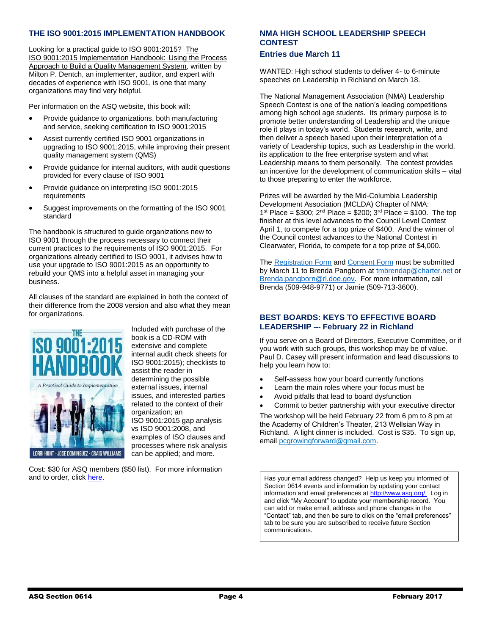# **THE ISO 9001:2015 IMPLEMENTATION HANDBOOK**

Looking for a practical guide to ISO 9001:2015? The ISO 9001:2015 Implementation Handbook: Using the Process Approach to Build a Quality Management System, written by Milton P. Dentch, an implementer, auditor, and expert with decades of experience with ISO 9001, is one that many organizations may find very helpful.

Per information on the ASQ website, this book will:

- Provide guidance to organizations, both manufacturing and service, seeking certification to ISO 9001:2015
- Assist currently certified ISO 9001 organizations in upgrading to ISO 9001:2015, while improving their present quality management system (QMS)
- Provide guidance for internal auditors, with audit questions provided for every clause of ISO 9001
- Provide quidance on interpreting ISO 9001:2015 requirements
- Suggest improvements on the formatting of the ISO 9001 standard

The handbook is structured to guide organizations new to ISO 9001 through the process necessary to connect their current practices to the requirements of ISO 9001:2015. For organizations already certified to ISO 9001, it advises how to use your upgrade to ISO 9001:2015 as an opportunity to rebuild your QMS into a helpful asset in managing your business.

All clauses of the standard are explained in both the context of their difference from the 2008 version and also what they mean for organizations.



Included with purchase of the book is a CD-ROM with extensive and complete internal audit check sheets for ISO 9001:2015); checklists to assist the reader in determining the possible external issues, internal issues, and interested parties related to the context of their organization; an ISO 9001:2015 gap analysis vs ISO 9001:2008, and examples of ISO clauses and processes where risk analysis can be applied; and more.

Cost: \$30 for ASQ members (\$50 list). For more information and to order, clic[k here.](https://asq.org/quality-press/display-item?item=H1515&utm_source=email&utm_medium=email&utm_campaign=knowledge%20offerings_qp%20news_january%202017)

# **NMA HIGH SCHOOL LEADERSHIP SPEECH CONTEST**

#### **Entries due March 11**

WANTED: High school students to deliver 4- to 6-minute speeches on Leadership in Richland on March 18.

The National Management Association (NMA) Leadership Speech Contest is one of the nation's leading competitions among high school age students. Its primary purpose is to promote better understanding of Leadership and the unique role it plays in today's world. Students research, write, and then deliver a speech based upon their interpretation of a variety of Leadership topics, such as Leadership in the world, its application to the free enterprise system and what Leadership means to them personally. The contest provides an incentive for the development of communication skills – vital to those preparing to enter the workforce.

Prizes will be awarded by the Mid-Columbia Leadership Development Association (MCLDA) Chapter of NMA: 1<sup>st</sup> Place = \$300; 2<sup>nd</sup> Place = \$200; 3<sup>rd</sup> Place = \$100. The top finisher at this level advances to the Council Level Contest April 1, to compete for a top prize of \$400. And the winner of the Council contest advances to the National Contest in Clearwater, Florida, to compete for a top prize of \$4,000.

The [Registration Form](http://www.nma1.org/documents/speech-contest/Speech-Contest-Student-Entry-Form.docx) an[d Consent Form](http://www.nma1.org/documents/speech-contest/Speech-Contest-Consent-and-Acknowledgement-of-Risk-Form.docx) must be submitted by March 11 to Brenda Pangborn at [tmbrendap@charter.net](mailto:tmbrendap@charter.net) or [Brenda.pangborn@rl.doe.gov.](mailto:Brenda.pangborn@rl.doe.gov) For more information, call Brenda (509-948-9771) or Jamie (509-713-3600).

#### **BEST BOARDS: KEYS TO EFFECTIVE BOARD LEADERSHIP --- February 22 in Richland**

If you serve on a Board of Directors, Executive Committee, or if you work with such groups, this workshop may be of value. Paul D. Casey will present information and lead discussions to help you learn how to:

- Self-assess how your board currently functions
- Learn the main roles where your focus must be
- Avoid pitfalls that lead to board dysfunction
- Commit to better partnership with your executive director

The workshop will be held February 22 from 6 pm to 8 pm at the Academy of Children's Theater, 213 Wellsian Way in Richland. A light dinner is included. Cost is \$35. To sign up, email [pcgrowingforward@gmail.com.](mailto:pcgrowingforward@gmail.com)

Has your email address changed? Help us keep you informed of Section 0614 events and information by updating your contact information and email preferences a[t http://www.asq.org/.](http://www.asq.org/) Log in and click "My Account" to update your membership record. You can add or make email, address and phone changes in the "Contact" tab, and then be sure to click on the "email preferences" tab to be sure you are subscribed to receive future Section communications.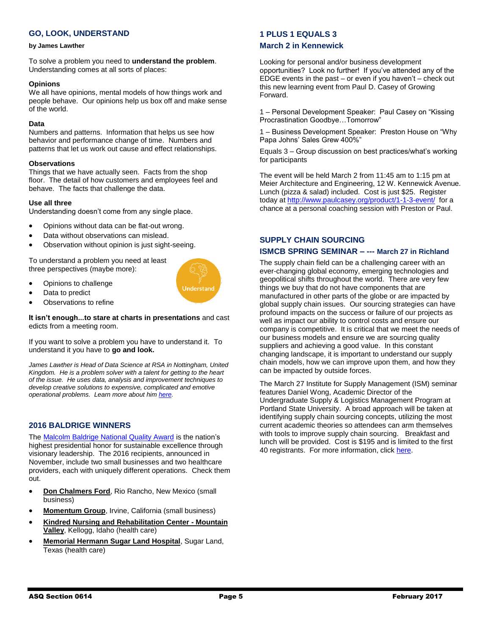# **GO, LOOK, UNDERSTAND**

#### **by James Lawther**

To solve a problem you need to **understand the problem**. Understanding comes at all sorts of places:

#### **Opinions**

We all have opinions, mental models of how things work and people behave. Our opinions help us box off and make sense of the world.

#### **Data**

Numbers and patterns. Information that helps us see how behavior and performance change of time. Numbers and patterns that let us work out cause and effect relationships.

#### **Observations**

Things that we have actually seen. Facts from the shop floor. The detail of how customers and employees feel and behave. The facts that challenge the data.

#### **Use all three**

Understanding doesn't come from any single place.

- Opinions without data can be flat-out wrong.
- Data without observations can mislead.
- Observation without opinion is just sight-seeing.

To understand a problem you need at least three perspectives (maybe more):

- Opinions to challenge
- Data to predict
- Observations to refine

**It isn't enough...to stare at charts in presentations** and cast edicts from a meeting room.

If you want to solve a problem you have to understand it. To understand it you have to **go and look.**

*James Lawther is Head of Data Science at RSA in Nottingham, United Kingdom. He is a problem solver with a talent for getting to the heart of the issue. He uses data, analysis and improvement techniques to develop creative solutions to expensive, complicated and emotive operational problems. Learn more about him [here.](https://www.linkedin.com/in/jameslawther)*

#### **2016 BALDRIGE WINNERS**

The **Malcolm Baldrige National Quality Award** is the nation's highest presidential honor for sustainable excellence through visionary leadership. The 2016 recipients, announced in November, include two small businesses and two healthcare providers, each with uniquely different operations. Check them out.

- **[Don Chalmers Ford](https://www.nist.gov/baldrige/don-chalmers-ford)**, Rio Rancho, New Mexico (small business)
- **[Momentum Group](https://www.nist.gov/baldrige/momentum-group)**, Irvine, California (small business)
- **[Kindred Nursing and Rehabilitation Center -](https://www.nist.gov/baldrige/kindred-nursing-and-rehabilitation-center-mountain-valley) Mountain [Valley](https://www.nist.gov/baldrige/kindred-nursing-and-rehabilitation-center-mountain-valley)**, Kellogg, Idaho (health care)
- **[Memorial Hermann Sugar Land Hospital](https://www.nist.gov/baldrige/memorial-hermann-sugar-land-hospital)**, Sugar Land, Texas (health care)

# **1 PLUS 1 EQUALS 3 March 2 in Kennewick**

Looking for personal and/or business development opportunities? Look no further! If you've attended any of the EDGE events in the past – or even if you haven't – check out this new learning event from Paul D. Casey of Growing Forward.

1 – Personal Development Speaker: Paul Casey on "Kissing Procrastination Goodbye…Tomorrow"

1 – Business Development Speaker: Preston House on "Why Papa Johns' Sales Grew 400%"

Equals 3 – Group discussion on best practices/what's working for participants

The event will be held March 2 from 11:45 am to 1:15 pm at Meier Architecture and Engineering, 12 W. Kennewick Avenue. Lunch (pizza & salad) included. Cost is just \$25. Register today at <http://www.paulcasey.org/product/1-1-3-event/> for a chance at a personal coaching session with Preston or Paul.

#### **SUPPLY CHAIN SOURCING**

#### **ISMCB SPRING SEMINAR – --- March 27 in Richland**

The supply chain field can be a challenging career with an ever-changing global economy, emerging technologies and geopolitical shifts throughout the world. There are very few things we buy that do not have components that are manufactured in other parts of the globe or are impacted by global supply chain issues. Our sourcing strategies can have profound impacts on the success or failure of our projects as well as impact our ability to control costs and ensure our company is competitive. It is critical that we meet the needs of our business models and ensure we are sourcing quality suppliers and achieving a good value. In this constant changing landscape, it is important to understand our supply chain models, how we can improve upon them, and how they can be impacted by outside forces.

The March 27 Institute for Supply Management (ISM) seminar features Daniel Wong, Academic Director of the Undergraduate Supply & Logistics Management Program at Portland State University. A broad approach will be taken at identifying supply chain sourcing concepts, utilizing the most current academic theories so attendees can arm themselves with tools to improve supply chain sourcing. Breakfast and lunch will be provided. Cost is \$195 and is limited to the first 40 registrants. For more information, clic[k here.](http://www.ismcb.org/programs/seminar_2017.pdf)